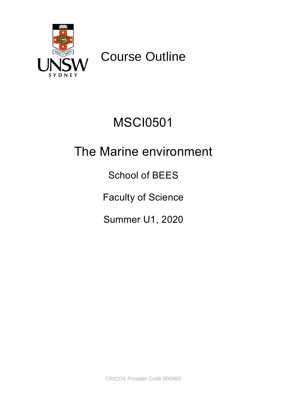

Course Outline

# MSCI0501

# The Marine environment

School of BEES

Faculty of Science

Summer U1, 2020

CRICOS Provider Code 00098G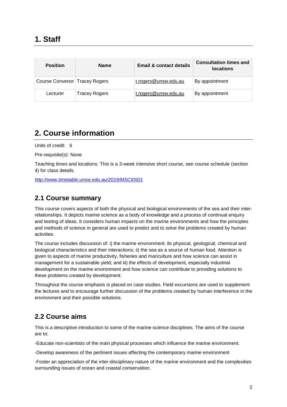| <b>Position</b>                 | <b>Name</b>   | Email & contact details | <b>Consultation times and</b><br><b>locations</b> |
|---------------------------------|---------------|-------------------------|---------------------------------------------------|
| Course Convenor   Tracey Rogers |               | t.rogers@unsw.edu.au    | By appointment                                    |
| Lecturer                        | Tracey Rogers | t.rogers@unsw.edu.au    | By appointment                                    |

# **2. Course information**

Units of credit: 6

Pre-requisite(s): None

Teaching times and locations: This is a 3-week intensive short course, see course schedule (section 4) for class details.

*<http://www.timetable.unsw.edu.au/2019/MSCI0501>*

#### **2.1 Course summary**

This course covers aspects of both the physical and biological environments of the sea and their interrelationships. It depicts marine science as a body of knowledge and a process of continual enquiry and testing of ideas. It considers human impacts on the marine environments and how the principles and methods of science in general are used to predict and to solve the problems created by human activities.

The course includes discussion of: i) the marine environment: its physical, geological, chemical and biological characteristics and their interactions; ii) the sea as a source of human food. Attention is given to aspects of marine productivity, fisheries and mariculture and how science can assist in management for a sustainable yield; and iii) the effects of development, especially industrial development on the marine environment and how science can contribute to providing solutions to these problems created by development.

Throughout the course emphasis is placed on case studies. Field excursions are used to supplement the lectures and to encourage further discussion of the problems created by human interference in the environment and their possible solutions.

#### **2.2 Course aims**

This is a descriptive introduction to some of the marine science disciplines. The aims of the course are to:

-Educate non-scientists of the main physical processes which influence the marine environment.

-Develop awareness of the pertinent issues affecting the contemporary marine environment

-Foster an appreciation of the inter-disciplinary nature of the marine environment and the complexities surrounding issues of ocean and coastal conservation.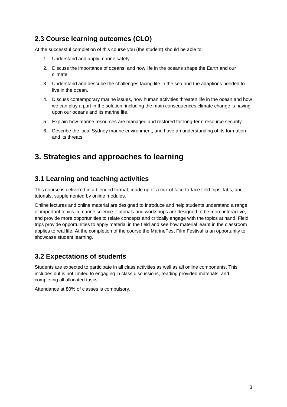### **2.3 Course learning outcomes (CLO)**

At the successful completion of this course you (the student) should be able to:

- 1. Understand and apply marine safety.
- 2. Discuss the importance of oceans, and how life in the oceans shape the Earth and our climate.
- 3. Understand and describe the challenges facing life in the sea and the adaptions needed to live in the ocean.
- 4. Discuss contemporary marine issues, how human activities threaten life in the ocean and how we can play a part in the solution, including the main consequences climate change is having upon our oceans and its marine life.
- 5. Explain how marine resources are managed and restored for long-term resource security.
- 6. Describe the local Sydney marine environment, and have an understanding of its formation and its threats.

## **3. Strategies and approaches to learning**

#### **3.1 Learning and teaching activities**

This course is delivered in a blended format, made up of a mix of face-to-face field trips, labs, and tutorials, supplemented by online modules.

Online lectures and online material are designed to introduce and help students understand a range of important topics in marine science. Tutorials and workshops are designed to be more interactive, and provide more opportunities to relate concepts and critically engage with the topics at hand. Field trips provide opportunities to apply material in the field and see how material learnt in the classroom applies to real life. At the completion of the course the MarineFest Film Festival is an opportunity to showcase student learning.

#### **3.2 Expectations of students**

Students are expected to participate in all class activities as well as all online components. This includes but is not limited to engaging in class discussions, reading provided materials, and completing all allocated tasks.

Attendance at 80% of classes is compulsory.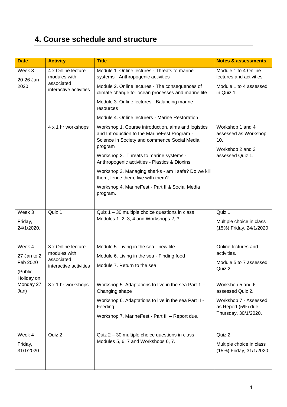# **4. Course schedule and structure**

| <b>Date</b>                                                           | <b>Activity</b>                                                            | <b>Title</b>                                                                                                                                                                                                                                               | <b>Notes &amp; assessments</b>                                                          |
|-----------------------------------------------------------------------|----------------------------------------------------------------------------|------------------------------------------------------------------------------------------------------------------------------------------------------------------------------------------------------------------------------------------------------------|-----------------------------------------------------------------------------------------|
| Week 3<br>20-26 Jan<br>2020                                           | 4 x Online lecture<br>modules with<br>associated<br>interactive activities | Module 1. Online lectures - Threats to marine<br>systems - Anthropogenic activities                                                                                                                                                                        | Module 1 to 4 Online<br>lectures and activities                                         |
|                                                                       |                                                                            | Module 2. Online lectures - The consequences of<br>climate change for ocean processes and marine life                                                                                                                                                      | Module 1 to 4 assessed<br>in Quiz 1.                                                    |
|                                                                       |                                                                            | Module 3. Online lectures - Balancing marine<br>resources                                                                                                                                                                                                  |                                                                                         |
|                                                                       |                                                                            | Module 4. Online lecturers - Marine Restoration                                                                                                                                                                                                            |                                                                                         |
|                                                                       | 4 x 1 hr workshops                                                         | Workshop 1. Course introduction, aims and logistics<br>and Introduction to the MarineFest Program -<br>Science in Society and commence Social Media<br>program<br>Workshop 2. Threats to marine systems -<br>Anthropogenic activities - Plastics & Dioxins | Workshop 1 and 4<br>assessed as Workshop<br>10.<br>Workshop 2 and 3<br>assessed Quiz 1. |
|                                                                       |                                                                            | Workshop 3. Managing sharks - am I safe? Do we kill<br>them, fence them, live with them?                                                                                                                                                                   |                                                                                         |
|                                                                       |                                                                            | Workshop 4. MarineFest - Part II & Social Media<br>program.                                                                                                                                                                                                |                                                                                         |
| Week 3                                                                | Quiz 1                                                                     | Quiz $1 - 30$ multiple choice questions in class                                                                                                                                                                                                           | Quiz 1.                                                                                 |
| Friday,<br>24/1/2020.                                                 |                                                                            | Modules 1, 2, 3, 4 and Workshops 2, 3                                                                                                                                                                                                                      | Multiple choice in class<br>(15%) Friday, 24/1/2020                                     |
| Week 4                                                                | 3 x Online lecture<br>modules with                                         | Module 5. Living in the sea - new life                                                                                                                                                                                                                     | Online lectures and<br>activities.                                                      |
| 27 Jan to 2<br>Feb 2020<br>(Public<br>Holiday on<br>Monday 27<br>Jan) | associated<br>interactive activities                                       | Module 6. Living in the sea - Finding food                                                                                                                                                                                                                 | Module 5 to 7 assessed                                                                  |
|                                                                       |                                                                            | Module 7. Return to the sea                                                                                                                                                                                                                                | Quiz 2.                                                                                 |
|                                                                       | 3 x 1 hr workshops                                                         | Workshop 5. Adaptations to live in the sea Part 1 -<br>Changing shape                                                                                                                                                                                      | Workshop 5 and 6<br>assessed Quiz 2.                                                    |
|                                                                       |                                                                            | Workshop 6. Adaptations to live in the sea Part II -<br>Feeding                                                                                                                                                                                            | Workshop 7 - Assessed<br>as Report (5%) due                                             |
|                                                                       |                                                                            | Workshop 7. MarineFest - Part III - Report due.                                                                                                                                                                                                            | Thursday, 30/1/2020.                                                                    |
| Week 4                                                                | Quiz 2                                                                     | Quiz 2 - 30 multiple choice questions in class                                                                                                                                                                                                             | Quiz 2.                                                                                 |
| Friday,<br>31/1/2020                                                  |                                                                            | Modules 5, 6, 7 and Workshops 6, 7.                                                                                                                                                                                                                        | Multiple choice in class<br>(15%) Friday, 31/1/2020                                     |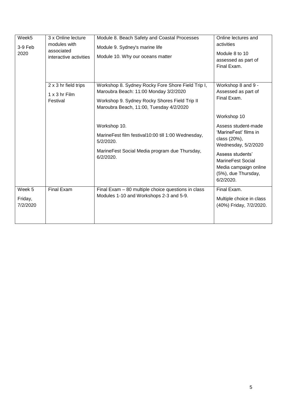| Week5<br>$3-9$ Feb<br>2020    | 3 x Online lecture<br>modules with<br>associated<br>interactive activities | Module 8. Beach Safety and Coastal Processes<br>Module 9. Sydney's marine life<br>Module 10. Why our oceans matter                                                                     | Online lectures and<br>activities<br>Module 8 to 10<br>assessed as part of<br>Final Exam.                                                                                                 |
|-------------------------------|----------------------------------------------------------------------------|----------------------------------------------------------------------------------------------------------------------------------------------------------------------------------------|-------------------------------------------------------------------------------------------------------------------------------------------------------------------------------------------|
|                               | 2 x 3 hr field trips<br>1 x 3 hr Film<br>Festival                          | Workshop 8. Sydney Rocky Fore Shore Field Trip I,<br>Maroubra Beach: 11:00 Monday 3/2/2020<br>Workshop 9. Sydney Rocky Shores Field Trip II<br>Maroubra Beach, 11:00, Tuesday 4/2/2020 | Workshop 8 and 9 -<br>Assessed as part of<br>Final Exam.<br>Workshop 10                                                                                                                   |
|                               |                                                                            | Workshop 10.<br>MarineFest film festival10:00 till 1:00 Wednesday,<br>5/2/2020.<br>MarineFest Social Media program due Thursday,<br>6/2/2020.                                          | Assess student-made<br>'MarineFest' films in<br>class (20%),<br>Wednesday, 5/2/2020<br>Assess students'<br>MarineFest Social<br>Media campaign online<br>(5%), due Thursday,<br>6/2/2020. |
| Week 5<br>Friday,<br>7/2/2020 | <b>Final Exam</b>                                                          | Final Exam - 80 multiple choice questions in class<br>Modules 1-10 and Workshops 2-3 and 5-9.                                                                                          | Final Exam.<br>Multiple choice in class<br>(40%) Friday, 7/2/2020.                                                                                                                        |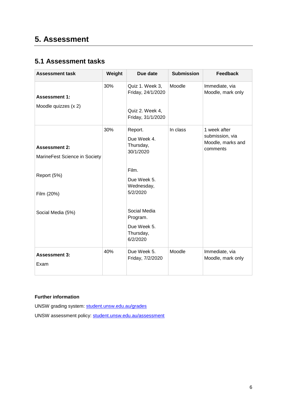## **5. Assessment**

### **5.1 Assessment tasks**

| <b>Assessment task</b>                                               | Weight | Due date                                                                     | <b>Submission</b> | <b>Feedback</b>                                                  |
|----------------------------------------------------------------------|--------|------------------------------------------------------------------------------|-------------------|------------------------------------------------------------------|
| <b>Assessment 1:</b><br>Moodle quizzes (x 2)                         | 30%    | Quiz 1. Week 3,<br>Friday, 24/1/2020<br>Quiz 2. Week 4,<br>Friday, 31/1/2020 | Moodle            | Immediate, via<br>Moodle, mark only                              |
| <b>Assessment 2:</b><br>MarineFest Science in Society<br>Report (5%) | 30%    | Report.<br>Due Week 4.<br>Thursday,<br>30/1/2020<br>Film.                    | In class          | 1 week after<br>submission, via<br>Moodle, marks and<br>comments |
| Film (20%)                                                           |        | Due Week 5.<br>Wednesday,<br>5/2/2020                                        |                   |                                                                  |
| Social Media (5%)                                                    |        | Social Media<br>Program.<br>Due Week 5.<br>Thursday,<br>6/2/2020             |                   |                                                                  |
| <b>Assessment 3:</b><br>Exam                                         | 40%    | Due Week 5.<br>Friday, 7/2/2020                                              | Moodle            | Immediate, via<br>Moodle, mark only                              |

#### **Further information**

UNSW grading system: [student.unsw.edu.au/grades](https://student.unsw.edu.au/grades) UNSW assessment policy: [student.unsw.edu.au/assessment](https://student.unsw.edu.au/assessment)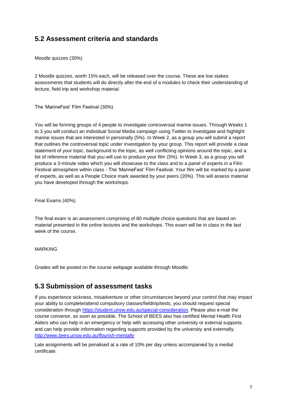#### **5.2 Assessment criteria and standards**

Moodle quizzes (30%)

2 Moodle quizzes, worth 15% each, will be released over the course. These are low stakes assessments that students will do directly after the end of a modules to check their understanding of lecture, field trip and workshop material.

The 'MarineFest' Film Festival (30%)

You will be forming groups of 4 people to investigate controversial marine issues. Through Weeks 1 to 3 you will conduct an individual Social Media campaign using Twitter to investigate and highlight marine issues that are interested in personally (5%). In Week 2, as a group you will submit a report that outlines the controversial topic under investigation by your group. This report will provide a clear statement of your topic, background to the topic, as well conflicting opinions around the topic, and a list of reference material that you will use to produce your film (5%). In Week 3, as a group you will produce a 3-minute video which you will showcase to the class and to a panel of experts in a Film Festival atmosphere within class - The 'MarineFest' Film Festival. Your film will be marked by a panel of experts, as well as a People Choice mark awarded by your peers (20%). This will assess material you have developed through the workshops.

Final Exams (40%)

The final exam is an assessment comprising of 80 multiple choice questions that are based on material presented in the online lectures and the workshops. This exam will be in class in the last week of the course.

#### MARKING

Grades will be posted on the course webpage available through Moodle.

#### **5.3 Submission of assessment tasks**

If you experience sickness, misadventure or other circumstances beyond your control that may impact your ability to complete/attend compulsory classes/fieldtrip/tests, you should request special consideration through [https://student.unsw.edu.au/special-consideration.](https://student.unsw.edu.au/special-consideration) Please also e-mail the course convenor, as soon as possible. The School of BEES also has certified Mental Health First Aiders who can help in an emergency or help with accessing other university or external supports. and can help provide information regarding supports provided by the university and externally. *<http://www.bees.unsw.edu.au/flourish-mentally>*

Late assignments will be penalised at a rate of 10% per day unless accompanied by a medial certificate.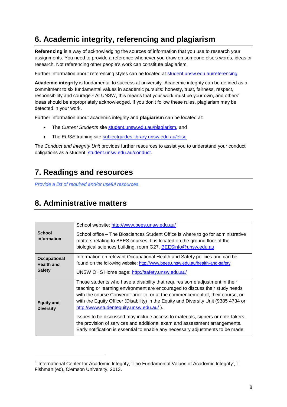# **6. Academic integrity, referencing and plagiarism**

**Referencing** is a way of acknowledging the sources of information that you use to research your assignments. You need to provide a reference whenever you draw on someone else's words, ideas or research. Not referencing other people's work can constitute plagiarism.

Further information about referencing styles can be located at [student.unsw.edu.au/referencing](https://student.unsw.edu.au/referencing)

**Academic integrity** is fundamental to success at university. Academic integrity can be defined as a commitment to six fundamental values in academic pursuits**:** honesty, trust, fairness, respect, responsibility and courage.*<sup>1</sup>* At UNSW, this means that your work must be your own, and others' ideas should be appropriately acknowledged. If you don't follow these rules, plagiarism may be detected in your work.

Further information about academic integrity and **plagiarism** can be located at:

- The *Current Students* site [student.unsw.edu.au/plagiarism](https://student.unsw.edu.au/plagiarism)*,* and
- The *ELISE* training site [subjectguides.library.unsw.edu.au/elise](http://subjectguides.library.unsw.edu.au/elise)

The *Conduct and Integrity Unit* provides further resources to assist you to understand your conduct obligations as a student: [student.unsw.edu.au/conduct.](https://student.unsw.edu.au/conduct)

# **7. Readings and resources**

*Provide a list of required and/or useful resources.*

# **8. Administrative matters**

l

| <b>School</b><br>information          | School website: http://www.bees.unsw.edu.au/<br>School office – The Biosciences Student Office is where to go for administrative<br>matters relating to BEES courses. It is located on the ground floor of the<br>biological sciences building, room G27. BEESinfo@unsw.edu.au |  |  |  |
|---------------------------------------|--------------------------------------------------------------------------------------------------------------------------------------------------------------------------------------------------------------------------------------------------------------------------------|--|--|--|
| Occupational                          | Information on relevant Occupational Health and Safety policies and can be                                                                                                                                                                                                     |  |  |  |
| <b>Health and</b>                     | found on the following website: http://www.bees.unsw.edu.au/health-and-safety                                                                                                                                                                                                  |  |  |  |
|                                       |                                                                                                                                                                                                                                                                                |  |  |  |
| <b>Safety</b>                         | UNSW OHS Home page: http://safety.unsw.edu.au/                                                                                                                                                                                                                                 |  |  |  |
|                                       |                                                                                                                                                                                                                                                                                |  |  |  |
|                                       | Those students who have a disability that requires some adjustment in their                                                                                                                                                                                                    |  |  |  |
| <b>Equity and</b><br><b>Diversity</b> | teaching or learning environment are encouraged to discuss their study needs                                                                                                                                                                                                   |  |  |  |
|                                       | with the course Convenor prior to, or at the commencement of, their course, or                                                                                                                                                                                                 |  |  |  |
|                                       | with the Equity Officer (Disability) in the Equity and Diversity Unit (9385 4734 or                                                                                                                                                                                            |  |  |  |
|                                       |                                                                                                                                                                                                                                                                                |  |  |  |
|                                       | http://www.studentequity.unsw.edu.au/).                                                                                                                                                                                                                                        |  |  |  |
|                                       | Issues to be discussed may include access to materials, signers or note-takers,                                                                                                                                                                                                |  |  |  |
|                                       |                                                                                                                                                                                                                                                                                |  |  |  |
|                                       | the provision of services and additional exam and assessment arrangements.                                                                                                                                                                                                     |  |  |  |
|                                       | Early notification is essential to enable any necessary adjustments to be made.                                                                                                                                                                                                |  |  |  |
|                                       |                                                                                                                                                                                                                                                                                |  |  |  |

<sup>&</sup>lt;sup>1</sup> International Center for Academic Integrity, 'The Fundamental Values of Academic Integrity', T. Fishman (ed), Clemson University, 2013.